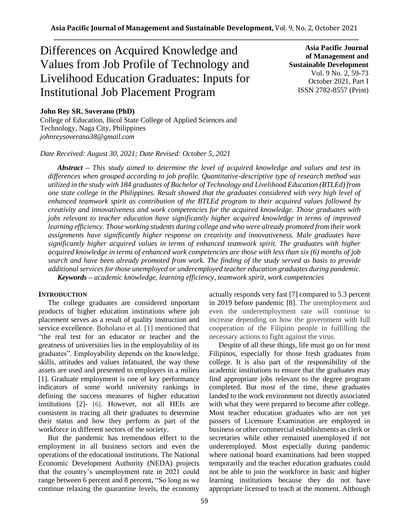# Differences on Acquired Knowledge and Values from Job Profile of Technology and Livelihood Education Graduates: Inputs for Institutional Job Placement Program

**Asia Pacific Journal of Management and Sustainable Development**  Vol. 9 No. 2, 59-73 October 2021, Part I ISSN 2782-8557 (Print)

# **John Rey SR. Soverano (PhD)**

College of Education, Bicol State College of Applied Sciences and Technology, Naga City, Philippines *johnreysoverano38@gmail.com*

*Date Received: August 30, 2021; Date Revised: October 5, 2021*

*Abstract – This study aimed to determine the level of acquired knowledge and values and test its differences when grouped according to job profile. Quantitative-descriptive type of research method was utilized in the study with 184 graduates of Bachelor of Technology and Livelihood Education (BTLEd) from one state college in the Philippines. Result showed that the graduates considered with very high level of enhanced teamwork spirit as contribution of the BTLEd program to their acquired values followed by creativity and innovativeness and work competencies for the acquired knowledge. Those graduates with jobs relevant to teacher education have significantly higher acquired knowledge in terms of improved learning efficiency. Those working students during college and who were already promoted from their work assignments have significantly higher response on creativity and innovativeness. Male graduates have significantly higher acquired values in terms of enhanced teamwork spirit. The graduates with higher acquired knowledge in terms of enhanced work competencies are those with less than six (6) months of job search and have been already promoted from work. The finding of the study served as basis to provide additional services for those unemployed or underemployed teacher education graduates during pandemic. Keywords – academic knowledge, learning efficiency, teamwork spirit, work competencies*

# **INTRODUCTION**

The college graduates are considered important products of higher education institutions where job placement serves as a result of quality instruction and service excellence. Boholano et al. [1] mentioned that "the real test for an educator or teacher and the greatness of universities lies in the employability of its graduates". Employability depends on the knowledge, skills, attitudes and values infatuated, the way these assets are used and presented to employers in a milieu [1]. Graduate employment is one of key performance indicators of some world university rankings in defining the success measures of higher education institutions [2]- [6]. However, not all HEIs are consistent in tracing all their graduates to determine their status and how they perform as part of the workforce in different sectors of the society.

But the pandemic has tremendous effect to the employment in all business sectors and even the operations of the educational institutions. The National Economic Development Authority (NEDA) projects that the country's unemployment rate in 2021 could range between 6 percent and 8 percent**.** "So long as we continue relaxing the quarantine levels, the economy

actually responds very fast [7] compared to 5.3 percent in 2019 before pandemic [8]. The unemployment and even the underemployment rate will continue to increase depending on how the government with full cooperation of the Filipino people in fulfilling the necessary actions to fight against the virus.

Despite of all these things, life must go on for most Filipinos, especially for those fresh graduates from college. It is also part of the responsibility of the academic institutions to ensure that the graduates may find appropriate jobs relevant to the degree program completed. But most of the time, these graduates landed to the work environment not directly associated with what they were prepared to become after college. Most teacher education graduates who are not yet passers of Licensure Examination are employed in business or other commercial establishments as clerk or secretaries while other remained unemployed if not underemployed. Most especially during pandemic where national board examinations had been stopped temporarily and the teacher education graduates could not be able to join the workforce in basic and higher learning institutions because they do not have appropriate licensed to teach at the moment. Although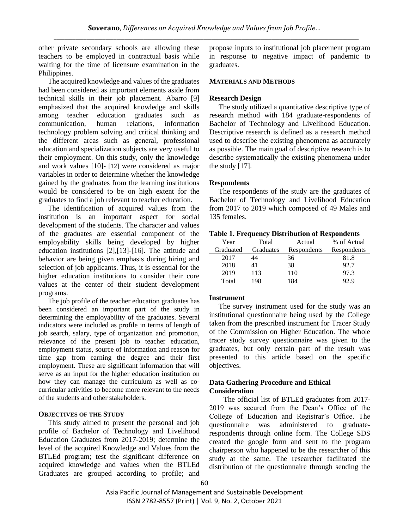other private secondary schools are allowing these teachers to be employed in contractual basis while waiting for the time of licensure examination in the Philippines.

The acquired knowledge and values of the graduates had been considered as important elements aside from technical skills in their job placement. Abarro [9] emphasized that the acquired knowledge and skills among teacher education graduates such as communication, human relations, information technology problem solving and critical thinking and the different areas such as general, professional education and specialization subjects are very useful to their employment. On this study, only the knowledge and work values [10]- [12] were considered as major variables in order to determine whether the knowledge gained by the graduates from the learning institutions would be considered to be on high extent for the graduates to find a job relevant to teacher education.

The identification of acquired values from the institution is an important aspect for social development of the students. The character and values of the graduates are essential component of the employability skills being developed by higher education institutions [2],[13]-[16]. The attitude and behavior are being given emphasis during hiring and selection of job applicants. Thus, it is essential for the higher education institutions to consider their core values at the center of their student development programs.

The job profile of the teacher education graduates has been considered an important part of the study in determining the employability of the graduates. Several indicators were included as profile in terms of length of job search, salary, type of organization and promotion, relevance of the present job to teacher education, employment status, source of information and reason for time gap from earning the degree and their first employment. These are significant information that will serve as an input for the higher education institution on how they can manage the curriculum as well as cocurricular activities to become more relevant to the needs of the students and other stakeholders.

## **OBJECTIVES OF THE STUDY**

This study aimed to present the personal and job profile of Bachelor of Technology and Livelihood Education Graduates from 2017-2019; determine the level of the acquired Knowledge and Values from the BTLEd program; test the significant difference on acquired knowledge and values when the BTLEd Graduates are grouped according to profile; and propose inputs to institutional job placement program in response to negative impact of pandemic to graduates.

#### **MATERIALS AND METHODS**

#### **Research Design**

The study utilized a quantitative descriptive type of research method with 184 graduate-respondents of Bachelor of Technology and Livelihood Education. Descriptive research is defined as a research method used to describe the existing phenomena as accurately as possible. The main goal of descriptive research is to describe systematically the existing phenomena under the study [17].

#### **Respondents**

The respondents of the study are the graduates of Bachelor of Technology and Livelihood Education from 2017 to 2019 which composed of 49 Males and 135 females.

|  |  |  | <b>Table 1. Frequency Distribution of Respondents</b> |
|--|--|--|-------------------------------------------------------|
|--|--|--|-------------------------------------------------------|

| Year      | Total     | Actual      | % of Actual |
|-----------|-----------|-------------|-------------|
| Graduated | Graduates | Respondents | Respondents |
| 2017      | 44        | 36          | 81.8        |
| 2018      | 41        | 38          | 92.7        |
| 2019      | 113       | 110         | 97.3        |
| Total     | 98        | 184         |             |

# **Instrument**

The survey instrument used for the study was an institutional questionnaire being used by the College taken from the prescribed instrument for Tracer Study of the Commission on Higher Education. The whole tracer study survey questionnaire was given to the graduates, but only certain part of the result was presented to this article based on the specific objectives.

# **Data Gathering Procedure and Ethical Consideration**

The official list of BTLEd graduates from 2017- 2019 was secured from the Dean's Office of the College of Education and Registrar's Office. The questionnaire was administered to graduaterespondents through online form. The College SDS created the google form and sent to the program chairperson who happened to be the researcher of this study at the same. The researcher facilitated the distribution of the questionnaire through sending the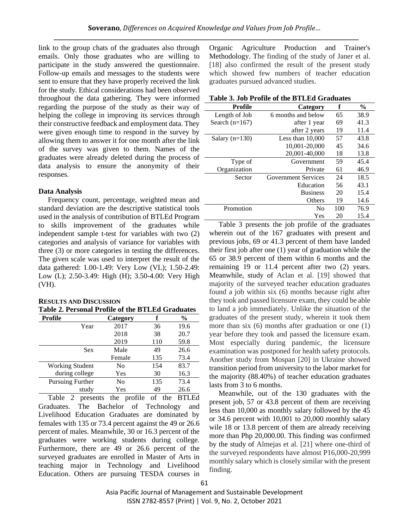link to the group chats of the graduates also through emails. Only those graduates who are willing to participate in the study answered the questionnaire. Follow-up emails and messages to the students were sent to ensure that they have properly received the link for the study. Ethical considerations had been observed throughout the data gathering. They were informed regarding the purpose of the study as their way of helping the college in improving its services through their constructive feedback and employment data. They were given enough time to respond in the survey by allowing them to answer it for one month after the link of the survey was given to them. Names of the graduates were already deleted during the process of data analysis to ensure the anonymity of their responses.

# **Data Analysis**

Frequency count, percentage, weighted mean and standard deviation are the descriptive statistical tools used in the analysis of contribution of BTLEd Program to skills improvement of the graduates while independent sample t-test for variables with two (2) categories and analysis of variance for variables with three (3) or more categories in testing the differences. The given scale was used to interpret the result of the data gathered: 1.00-1.49: Very Low (VL); 1.50-2.49: Low (L); 2.50-3.49: High (H); 3.50-4.00: Very High (VH).

## **RESULTS AND DISCUSSION Table 2. Personal Profile of the BTLEd Graduates**

| Profile                 | Category |     | $\frac{0}{0}$ |
|-------------------------|----------|-----|---------------|
| Year                    | 2017     | 36  | 19.6          |
|                         | 2018     | 38  | 20.7          |
|                         | 2019     | 110 | 59.8          |
| Sex                     | Male     | 49  | 26.6          |
|                         | Female   | 135 | 73.4          |
| <b>Working Student</b>  | No       | 154 | 83.7          |
| during college          | Yes      | 30  | 16.3          |
| <b>Pursuing Further</b> | No       | 135 | 73.4          |
| study                   | Yes      | 49  | 26.6          |

Table 2 presents the profile of the BTLEd Graduates. The Bachelor of Technology and Livelihood Education Graduates are dominated by females with 135 or 73.4 percent against the 49 or 26.6 percent of males. Meanwhile, 30 or 16.3 percent of the graduates were working students during college. Furthermore, there are 49 or 26.6 percent of the surveyed graduates are enrolled in Master of Arts in teaching major in Technology and Livelihood Education. Others are pursuing TESDA courses in Organic Agriculture Production and Trainer's Methodology. The finding of the study of Janer et al. [18] also confirmed the result of the present study which showed few numbers of teacher education graduates pursued advanced studies.

| <b>Profile</b>   | Category                   | f   | $\frac{6}{9}$ |
|------------------|----------------------------|-----|---------------|
| Length of Job    | 6 months and below         | 65  | 38.9          |
| Search $(n=167)$ | after 1 year               | 69  | 41.3          |
|                  | after 2 years              | 19  | 11.4          |
| Salary $(n=130)$ | Less than 10,000           | 57  | 43.8          |
|                  | 10,001-20,000              | 45  | 34.6          |
|                  | 20,001-40,000              | 18  | 13.8          |
| Type of          | Government                 | 59  | 45.4          |
| Organization     | Private                    | 61  | 46.9          |
| Sector           | <b>Government Services</b> | 24  | 18.5          |
|                  | Education                  | 56  | 43.1          |
|                  | <b>Business</b>            | 20  | 15.4          |
|                  | Others                     | 19  | 14.6          |
| Promotion        | N <sub>0</sub>             | 100 | 76.9          |
|                  | Yes                        | 20  | 15.4          |

Table 3 presents the job profile of the graduates wherein out of the 167 graduates with present and previous jobs, 69 or 41.3 percent of them have landed their first job after one (1) year of graduation while the 65 or 38.9 percent of them within 6 months and the remaining 19 or 11.4 percent after two (2) years. Meanwhile, study of Aclan et al. [19] showed that majority of the surveyed teacher education graduates found a job within six (6) months because right after they took and passed licensure exam, they could be able to land a job immediately. Unlike the situation of the graduates of the present study, wherein it took them more than six (6) months after graduation or one (1) year before they took and passed the licensure exam. Most especially during pandemic, the licensure examination was postponed for health safety protocols. Another study from Mospan [20] in Ukraine showed transition period from university to the labor market for the majority (88.40%) of teacher education graduates lasts from 3 to 6 months.

Meanwhile, out of the 130 graduates with the present job, 57 or 43.8 percent of them are receiving less than 10,000 as monthly salary followed by the 45 or 34.6 percent with 10,001 to 20,000 monthly salary wile 18 or 13.8 percent of them are already receiving more than Php 20,000.00. This finding was confirmed by the study of Almejas et al. [21] where one-third of the surveyed respondents have almost P16,000-20,999 monthly salary which is closely similar with the present finding.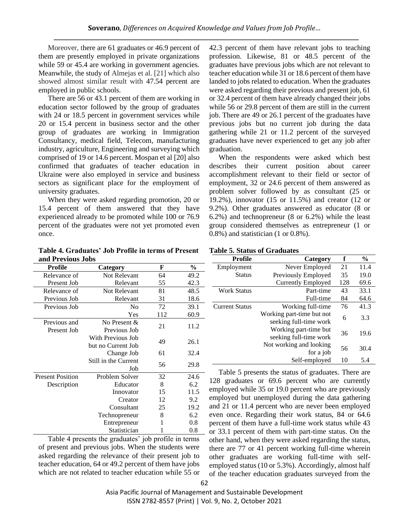Moreover, there are 61 graduates or 46.9 percent of them are presently employed in private organizations while 59 or 45.4 are working in government agencies. Meanwhile, the study of Almejas et al. [21] which also showed almost similar result with 47.54 percent are employed in public schools.

There are 56 or 43.1 percent of them are working in education sector followed by the group of graduates with 24 or 18.5 percent in government services while 20 or 15.4 percent in business sector and the other group of graduates are working in Immigration Consultancy, medical field, Telecom, manufacturing industry, agriculture, Engineering and surveying which comprised of 19 or 14.6 percent. Mospan et al [20] also confirmed that graduates of teacher education in Ukraine were also employed in service and business sectors as significant place for the employment of university graduates.

When they were asked regarding promotion, 20 or 15.4 percent of them answered that they have experienced already to be promoted while 100 or 76.9 percent of the graduates were not yet promoted even once.

**Table 4. Graduates' Job Profile in terms of Present** 

42.3 percent of them have relevant jobs to teaching profession. Likewise, 81 or 48.5 percent of the graduates have previous jobs which are not relevant to teacher education while 31 or 18.6 percent of them have landed to jobs related to education. When the graduates were asked regarding their previous and present job, 61 or 32.4 percent of them have already changed their jobs while 56 or 29.8 percent of them are still in the current job. There are 49 or 26.1 percent of the graduates have previous jobs but no current job during the data gathering while 21 or 11.2 percent of the surveyed graduates have never experienced to get any job after graduation.

When the respondents were asked which best describes their current position about career accomplishment relevant to their field or sector of employment, 32 or 24.6 percent of them answered as problem solver followed by as consultant (25 or 19.2%), innovator (15 or 11.5%) and creator (12 or 9.2%). Other graduates answered as educator (8 or 6.2%) and technopreneur (8 or 6.2%) while the least group considered themselves as entrepreneur (1 or 0.8%) and statistician (1 or 0.8%).

| and Previous Jobs       |                      |     |               |  |  |  |
|-------------------------|----------------------|-----|---------------|--|--|--|
| Profile                 | Category             | F   | $\frac{6}{9}$ |  |  |  |
| Relevance of            | Not Relevant         | 64  | 49.2          |  |  |  |
| Present Job             | Relevant             | 55  | 42.3          |  |  |  |
| Relevance of            | <b>Not Relevant</b>  | 81  | 48.5          |  |  |  |
| Previous Job            | Relevant             | 31  | 18.6          |  |  |  |
| Previous Job            | N <sub>0</sub>       | 72  | 39.1          |  |  |  |
|                         | Yes                  | 112 | 60.9          |  |  |  |
| Previous and            | No Present &         | 21  | 11.2          |  |  |  |
| Present Job             | Previous Job         |     |               |  |  |  |
|                         | With Previous Job    | 49  | 26.1          |  |  |  |
|                         | but no Current Job   |     |               |  |  |  |
|                         | Change Job           | 61  | 32.4          |  |  |  |
|                         | Still in the Current | 56  | 29.8          |  |  |  |
|                         | Job                  |     |               |  |  |  |
| <b>Present Position</b> | Problem Solver       | 32  | 24.6          |  |  |  |
| Description             | Educator             | 8   | 6.2           |  |  |  |
|                         | Innovator            | 15  | 11.5          |  |  |  |
|                         | Creator              | 12  | 9.2           |  |  |  |
|                         | Consultant           | 25  | 19.2          |  |  |  |
|                         | Technopreneur        | 8   | 6.2           |  |  |  |
|                         | Entrepreneur         | 1   | 0.8           |  |  |  |
|                         | Statistician         | 1   | 0.8           |  |  |  |

Table 4 presents the graduates' job profile in terms of present and previous jobs. When the students were asked regarding the relevance of their present job to teacher education, 64 or 49.2 percent of them have jobs which are not related to teacher education while 55 or

# **Table 5. Status of Graduates**

| <b>Profile</b>     | Category                                            | f   | $\%$ |
|--------------------|-----------------------------------------------------|-----|------|
| Employment         | Never Employed                                      | 21  | 11.4 |
| <b>Status</b>      | Previously Employed                                 | 35  | 19.0 |
|                    | <b>Currently Employed</b>                           | 128 | 69.6 |
| <b>Work Status</b> | Part-time                                           | 43  | 33.1 |
|                    | Full-time                                           | 84  | 64.6 |
| Current Status     | Working full-time                                   | 76  | 41.3 |
|                    | Working part-time but not<br>seeking full-time work | 6   | 3.3  |
|                    | Working part-time but<br>seeking full-time work     | 36  | 19.6 |
|                    | Not working and looking<br>for a job                | 56  | 30.4 |
|                    | Self-employed                                       | 10  | 5.4  |

Table 5 presents the status of graduates. There are 128 graduates or 69.6 percent who are currently employed while 35 or 19.0 percent who are previously employed but unemployed during the data gathering and 21 or 11.4 percent who are never been employed even once. Regarding their work status, 84 or 64.6 percent of them have a full-time work status while 43 or 33.1 percent of them with part-time status. On the other hand, when they were asked regarding the status, there are 77 or 41 percent working full-time wherein other graduates are working full-time with selfemployed status (10 or 5.3%). Accordingly, almost half of the teacher education graduates surveyed from the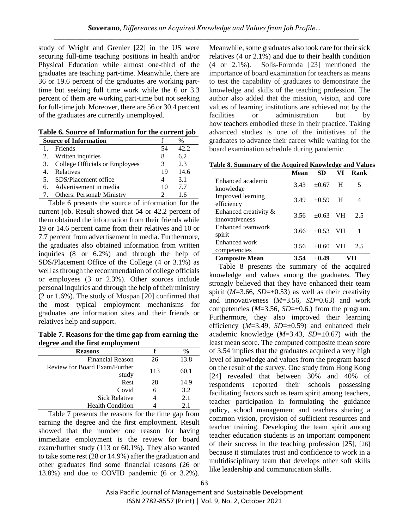study of Wright and Grenier [22] in the US were securing full-time teaching positions in health and/or Physical Education while almost one-third of the graduates are teaching part-time. Meanwhile, there are 36 or 19.6 percent of the graduates are working parttime but seeking full time work while the 6 or 3.3 percent of them are working part-time but not seeking for full-time job. Moreover, there are 56 or 30.4 percent of the graduates are currently unemployed.

|  |  |  |  | Table 6. Source of Information for the current job |  |  |  |
|--|--|--|--|----------------------------------------------------|--|--|--|
|--|--|--|--|----------------------------------------------------|--|--|--|

|     | <b>Source of Information</b>     |    |      |  |  |  |
|-----|----------------------------------|----|------|--|--|--|
|     | Friends                          | 54 | 42.2 |  |  |  |
|     | 2. Written inquiries             | 8  | 6.2  |  |  |  |
| 3.  | College Officials or Employees   | 3  | 2.3  |  |  |  |
|     | Relatives                        | 19 | 14.6 |  |  |  |
|     | 5. SDS/Placement office          |    | 3.1  |  |  |  |
| -6. | Advertisement in media           | 10 | 77   |  |  |  |
|     | <b>Others: Personal/Ministry</b> |    |      |  |  |  |

Table 6 presents the source of information for the current job. Result showed that 54 or 42.2 percent of them obtained the information from their friends while 19 or 14.6 percent came from their relatives and 10 or 7.7 percent from advertisement in media. Furthermore, the graduates also obtained information from written inquiries (8 or 6.2%) and through the help of SDS/Placement Office of the College (4 or 3.1%) as well as through the recommendation of college officials or employees (3 or 2.3%). Other sources include personal inquiries and through the help of their ministry (2 or 1.6%). The study of Mospan [20] confirmed that the most typical employment mechanisms for graduates are information sites and their friends or relatives help and support.

**Table 7. Reasons for the time gap from earning the degree and the first employment**

| <b>Reasons</b>                | f   | $\frac{6}{6}$ |
|-------------------------------|-----|---------------|
| <b>Financial Reason</b>       | 26  | 13.8          |
| Review for Board Exam/Further | 113 | 60.1          |
| study                         |     |               |
| Rest                          | 28  | 14.9          |
| Covid                         | 6   | 3.2           |
| <b>Sick Relative</b>          |     | 2.1           |
| <b>Health Condition</b>       |     | 2.1           |

Table 7 presents the reasons for the time gap from earning the degree and the first employment. Result showed that the number one reason for having immediate employment is the review for board exam/further study (113 or 60.1%). They also wanted to take some rest (28 or 14.9%) after the graduation and other graduates find some financial reasons (26 or 13.8%) and due to COVID pandemic (6 or 3.2%). Meanwhile, some graduates also took care for their sick relatives (4 or 2.1%) and due to their health condition (4 or 2.1%). Solis-Foronda [23] mentioned the importance of board examination for teachers as means to test the capability of graduates to demonstrate the knowledge and skills of the teaching profession. The author also added that the mission, vision, and core values of learning institutions are achieved not by the facilities or administration but by how teachers embodied these in their practice. Taking advanced studies is one of the initiatives of the graduates to advance their career while waiting for the board examination schedule during pandemic.

**Table 8. Summary of the Acquired Knowledge and Values** 

|                                         | Mean | SD            | VI           | Rank |
|-----------------------------------------|------|---------------|--------------|------|
| Enhanced academic<br>knowledge          | 3.43 | $+0.67$       | $\mathbf{H}$ | 5    |
| Improved learning<br>efficiency         | 3.49 | $\pm 0.59$ H  |              | 4    |
| Enhanced creativity &<br>innovativeness | 3.56 | $+0.63$ VH    |              | 2.5  |
| Enhanced teamwork<br>spirit             | 3.66 | $\pm 0.53$ VH |              |      |
| Enhanced work<br>competencies           | 3.56 | $+0.60$       | - VH         | 2.5  |
| <b>Composite Mean</b>                   | 3.54 | $+0.49$       |              |      |

Table 8 presents the summary of the acquired knowledge and values among the graduates. They strongly believed that they have enhanced their team spirit ( $M=3.66$ ,  $SD=\pm 0.53$ ) as well as their creativity and innovativeness (*M*=3.56, *SD*=0.63) and work competencies  $(M=3.56, SD=\pm 0.6)$  from the program. Furthermore, they also improved their learning efficiency  $(M=3.49, SD=\pm 0.59)$  and enhanced their academic knowledge (*M*=3.43, *SD*=±0.67) with the least mean score. The computed composite mean score of 3.54 implies that the graduates acquired a very high level of knowledge and values from the program based on the result of the survey. One study from Hong Kong [24] revealed that between 30% and 40% of respondents reported their schools possessing facilitating factors such as team spirit among teachers, teacher participation in formulating the guidance policy, school management and teachers sharing a common vision, provision of sufficient resources and teacher training. Developing the team spirit among teacher education students is an important component of their success in the teaching profession [25], [26] because it stimulates trust and confidence to work in a multidisciplinary team that develops other soft skills like leadership and communication skills.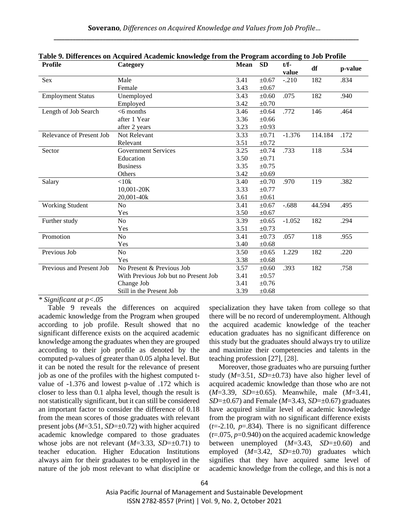| <b>Profile</b>           | Category                             | <b>Mean</b> | <b>SD</b>  | $t/f-$   | df      | p-value |
|--------------------------|--------------------------------------|-------------|------------|----------|---------|---------|
|                          |                                      |             |            | value    |         |         |
| Sex                      | Male                                 | 3.41        | $\pm 0.67$ | $-.210$  | 182     | .834    |
|                          | Female                               | 3.43        | $\pm 0.67$ |          |         |         |
| <b>Employment Status</b> | Unemployed                           | 3.43        | $\pm 0.60$ | .075     | 182     | .940    |
|                          | Employed                             | 3.42        | $\pm 0.70$ |          |         |         |
| Length of Job Search     | $<$ 6 months                         | 3.46        | $\pm 0.64$ | .772     | 146     | .464    |
|                          | after 1 Year                         | 3.36        | $\pm 0.66$ |          |         |         |
|                          | after 2 years                        | 3.23        | $\pm 0.93$ |          |         |         |
| Relevance of Present Job | Not Relevant                         | 3.33        | $\pm 0.71$ | $-1.376$ | 114.184 | .172    |
|                          | Relevant                             | 3.51        | $\pm 0.72$ |          |         |         |
| Sector                   | <b>Government Services</b>           | 3.25        | $\pm 0.74$ | .733     | 118     | .534    |
|                          | Education                            | 3.50        | $\pm 0.71$ |          |         |         |
|                          | <b>Business</b>                      | 3.35        | $\pm 0.75$ |          |         |         |
|                          | Others                               | 3.42        | $\pm 0.69$ |          |         |         |
| Salary                   | <10k                                 | 3.40        | $\pm 0.70$ | .970     | 119     | .382    |
|                          | 10,001-20K                           | 3.33        | $\pm 0.77$ |          |         |         |
|                          | 20,001-40k                           | 3.61        | $\pm 0.61$ |          |         |         |
| <b>Working Student</b>   | N <sub>o</sub>                       | 3.41        | $\pm 0.67$ | $-.688$  | 44.594  | .495    |
|                          | Yes                                  | 3.50        | $\pm 0.67$ |          |         |         |
| Further study            | N <sub>o</sub>                       | 3.39        | $\pm 0.65$ | $-1.052$ | 182     | .294    |
|                          | Yes                                  | 3.51        | $\pm 0.73$ |          |         |         |
| Promotion                | N <sub>o</sub>                       | 3.41        | $\pm 0.73$ | .057     | 118     | .955    |
|                          | Yes                                  | 3.40        | $\pm 0.68$ |          |         |         |
| Previous Job             | N <sub>0</sub>                       | 3.50        | $\pm 0.65$ | 1.229    | 182     | .220    |
|                          | Yes                                  | 3.38        | $\pm 0.68$ |          |         |         |
| Previous and Present Job | No Present & Previous Job            | 3.57        | $\pm 0.60$ | .393     | 182     | .758    |
|                          | With Previous Job but no Present Job | 3.41        | $\pm 0.57$ |          |         |         |
|                          | Change Job                           | 3.41        | $\pm 0.76$ |          |         |         |
|                          | Still in the Present Job             | 3.39        | $\pm 0.68$ |          |         |         |

| Table 9. Differences on Acquired Academic knowledge from the Program according to Job Profile |  |  |  |  |  |
|-----------------------------------------------------------------------------------------------|--|--|--|--|--|
|-----------------------------------------------------------------------------------------------|--|--|--|--|--|

Table 9 reveals the differences on acquired academic knowledge from the Program when grouped according to job profile. Result showed that no significant difference exists on the acquired academic knowledge among the graduates when they are grouped according to their job profile as denoted by the computed p-values of greater than 0.05 alpha level. But it can be noted the result for the relevance of present job as one of the profiles with the highest computed tvalue of -1.376 and lowest p-value of .172 which is closer to less than 0.1 alpha level, though the result is not statistically significant, but it can still be considered an important factor to consider the difference of 0.18 from the mean scores of those graduates with relevant present jobs (*M*=3.51, *SD*=±0.72) with higher acquired academic knowledge compared to those graduates whose jobs are not relevant  $(M=3.33, SD=\pm 0.71)$  to teacher education. Higher Education Institutions always aim for their graduates to be employed in the nature of the job most relevant to what discipline or specialization they have taken from college so that there will be no record of underemployment. Although the acquired academic knowledge of the teacher education graduates has no significant difference on this study but the graduates should always try to utilize and maximize their competencies and talents in the teaching profession [27], [28].

Moreover, those graduates who are pursuing further study  $(M=3.51, SD=\pm 0.73)$  have also higher level of acquired academic knowledge than those who are not (*M*=3.39, *SD*=±0.65). Meanwhile, male (*M*=3.41, *SD*= $\pm$ 0.67) and Female (*M*=3.43, *SD*= $\pm$ 0.67) graduates have acquired similar level of academic knowledge from the program with no significant difference exists  $(t=2.10, p=.834)$ . There is no significant difference (*t*=.075, *p*=0.940) on the acquired academic knowledge between unemployed  $(M=3.43, SD=0.60)$  and employed (*M*=3.42, *SD*=±0.70) graduates which signifies that they have acquired same level of academic knowledge from the college, and this is not a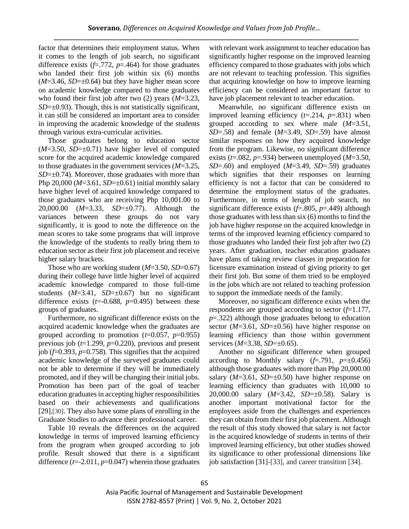factor that determines their employment status. When it comes to the length of job search, no significant difference exists (*f*=.772, *p*=.464) for those graduates who landed their first job within six (6) months  $(M=3.46, SD=\pm 0.64)$  but they have higher mean score on academic knowledge compared to those graduates who found their first job after two (2) years (*M*=3.23, *SD*= $\pm$ 0.93). Though, this is not statistically significant, it can still be considered an important area to consider in improving the academic knowledge of the students through various extra-curricular activities.

Those graduates belong to education sector  $(M=3.50, SD=\pm 0.71)$  have higher level of computed score for the acquired academic knowledge compared to those graduates in the government services (*M*=3.25, *SD*= $\pm$ 0.74). Moreover, those graduates with more than Php 20,000 ( $M=3.61$ ,  $SD=\pm 0.61$ ) initial monthly salary have higher level of acquired knowledge compared to those graduates who are receiving Php 10,001.00 to 20,000.00 (*M*=3.33, *SD*=±0.77). Although the variances between these groups do not vary significantly, it is good to note the difference on the mean scores to take some programs that will improve the knowledge of the students to really bring them to education sector as their first job placement and receive higher salary brackets.

Those who are working student (*M*=3.50, *SD*=0.67) during their college have little higher level of acquired academic knowledge compared to those full-time students  $(M=3.41, SD=±0.67)$  but no significant difference exists  $(t=0.688, p=0.495)$  between these groups of graduates.

Furthermore, no significant difference exists on the acquired academic knowledge when the graduates are grouped according to promotion  $(t=0.057, p=0.955)$ previous job (*t*=1.299, *p*=0.220), previous and present job  $(f=0.393, p=0.758)$ . This signifies that the acquired academic knowledge of the surveyed graduates could not be able to determine if they will be immediately promoted, and if they will be changing their initial jobs. Promotion has been part of the goal of teacher education graduates in accepting higher responsibilities based on their achievements and qualifications [29],[30]. They also have some plans of enrolling in the Graduate Studies to advance their professional career.

Table 10 reveals the differences on the acquired knowledge in terms of improved learning efficiency from the program when grouped according to job profile. Result showed that there is a significant difference (*t*=-2.011, *p*=0.047) wherein those graduates

with relevant work assignment to teacher education has significantly higher response on the improved learning efficiency compared to those graduates with jobs which are not relevant to teaching profession. This signifies that acquiring knowledge on how to improve learning efficiency can be considered an important factor to have job placement relevant to teacher education.

Meanwhile, no significant difference exists on improved learning efficiency (*t*=.214, *p*=.831) when grouped according to sex where male (*M*=3.51, *SD*=.58) and female (*M*=3.49, *SD*=.59) have almost similar responses on how they acquired knowledge from the program. Likewise, no significant difference exists  $(t=.082, p=.934)$  between unemployed  $(M=3.50,$ *SD*=.60) and employed (*M*=3.49, *SD*=.59) graduates which signifies that their responses on learning efficiency is not a factor that can be considered to determine the employment status of the graduates. Furthermore, in terms of length of job search, no significant difference exists (*f*=.805, *p*=.449) although those graduates with less than six (6) months to find the job have higher response on the acquired knowledge in terms of the improved learning efficiency compared to those graduates who landed their first job after two (2) years. After graduation, teacher education graduates have plans of taking review classes in preparation for licensure examination instead of giving priority to get their first job. But some of them tried to be employed in the jobs which are not related to teaching profession to support the immediate needs of the family.

Moreover, no significant difference exists when the respondents are grouped according to sector (*f*=1.177, *p*=.322) although those graduates belong to education sector ( $M=3.61$ ,  $SD=\pm 0.56$ ) have higher response on learning efficiency than those within government services (*M*=3.38, *SD*=±0.65).

Another no significant difference when grouped according to Monthly salary  $(f=.791, p=\pm 0.456)$ although those graduates with more than Php 20,000.00 salary  $(M=3.61, SD=\pm 0.50)$  have higher response on learning efficiency than graduates with 10,000 to 20,000.00 salary (*M*=3.42, *SD*=±0.58). Salary is another important motivational factor for the employees aside from the challenges and experiences they can obtain from their first job placement. Although the result of this study showed that salary is not factor in the acquired knowledge of students in terms of their improved learning efficiency, but other studies showed its significance to other professional dimensions like job satisfaction [31]-[33], and career transition [34].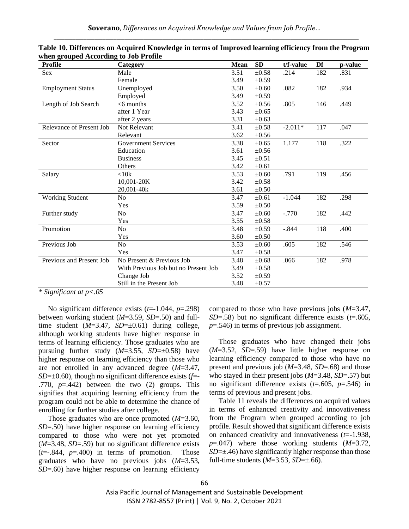| <b>Profile</b>           | Category                             | <b>Mean</b> | <b>SD</b>  | t/f-value | Df  | p-value |
|--------------------------|--------------------------------------|-------------|------------|-----------|-----|---------|
| <b>Sex</b>               | Male                                 | 3.51        | $\pm 0.58$ | .214      | 182 | .831    |
|                          | Female                               | 3.49        | ±0.59      |           |     |         |
| <b>Employment Status</b> | Unemployed                           | 3.50        | $\pm 0.60$ | .082      | 182 | .934    |
|                          | Employed                             | 3.49        | $\pm 0.59$ |           |     |         |
| Length of Job Search     | $<$ 6 months                         | 3.52        | $\pm 0.56$ | .805      | 146 | .449    |
|                          | after 1 Year                         | 3.43        | $\pm 0.65$ |           |     |         |
|                          | after 2 years                        | 3.31        | $\pm 0.63$ |           |     |         |
| Relevance of Present Job | Not Relevant                         | 3.41        | $\pm 0.58$ | $-2.011*$ | 117 | .047    |
|                          | Relevant                             | 3.62        | $\pm 0.56$ |           |     |         |
| Sector                   | <b>Government Services</b>           | 3.38        | $\pm 0.65$ | 1.177     | 118 | .322    |
|                          | Education                            | 3.61        | $\pm 0.56$ |           |     |         |
|                          | <b>Business</b>                      | 3.45        | $\pm 0.51$ |           |     |         |
|                          | <b>Others</b>                        | 3.42        | $\pm 0.61$ |           |     |         |
| Salary                   | < 10k                                | 3.53        | $\pm 0.60$ | .791      | 119 | .456    |
|                          | 10,001-20K                           | 3.42        | $\pm 0.58$ |           |     |         |
|                          | 20,001-40k                           | 3.61        | $\pm 0.50$ |           |     |         |
| Working Student          | No                                   | 3.47        | $\pm 0.61$ | $-1.044$  | 182 | .298    |
|                          | Yes                                  | 3.59        | $\pm 0.50$ |           |     |         |
| Further study            | N <sub>o</sub>                       | 3.47        | $\pm 0.60$ | $-.770$   | 182 | .442    |
|                          | Yes                                  | 3.55        | $\pm 0.58$ |           |     |         |
| Promotion                | No                                   | 3.48        | $\pm 0.59$ | $-.844$   | 118 | .400    |
|                          | Yes                                  | 3.60        | $\pm 0.50$ |           |     |         |
| Previous Job             | No                                   | 3.53        | $\pm 0.60$ | .605      | 182 | .546    |
|                          | Yes                                  | 3.47        | $\pm 0.58$ |           |     |         |
| Previous and Present Job | No Present & Previous Job            | 3.48        | $\pm 0.68$ | .066      | 182 | .978    |
|                          | With Previous Job but no Present Job | 3.49        | $\pm 0.58$ |           |     |         |
|                          | Change Job                           | 3.52        | $\pm 0.59$ |           |     |         |
|                          | Still in the Present Job             | 3.48        | $\pm 0.57$ |           |     |         |

**Table 10. Differences on Acquired Knowledge in terms of Improved learning efficiency from the Program when grouped According to Job Profile** 

No significant difference exists (*t*=-1.044, *p*=.298) between working student (*M*=3.59, *SD*=.50) and fulltime student  $(M=3.47, SD=0.61)$  during college, although working students have higher response in terms of learning efficiency. Those graduates who are pursuing further study  $(M=3.55, SD=\pm 0.58)$  have higher response on learning efficiency than those who are not enrolled in any advanced degree (*M*=3.47, *SD*=±0.60), though no significant difference exists (*f*=- .770, *p*=.442) between the two (2) groups. This signifies that acquiring learning efficiency from the program could not be able to determine the chance of enrolling for further studies after college.

Those graduates who are once promoted (*M*=3.60, *SD*=.50) have higher response on learning efficiency compared to those who were not yet promoted (*M*=3.48, *SD*=.59) but no significant difference exists  $(t=-.844, p=.400)$  in terms of promotion. Those graduates who have no previous jobs (*M*=3.53, *SD*=.60) have higher response on learning efficiency compared to those who have previous jobs (*M*=3.47, *SD*=.58) but no significant difference exists (*t*=.605, *p*=.546) in terms of previous job assignment.

Those graduates who have changed their jobs (*M*=3.52, *SD*=.59) have little higher response on learning efficiency compared to those who have no present and previous job (*M*=3.48, *SD*=.68) and those who stayed in their present jobs (*M*=3.48, *SD*=.57) but no significant difference exists (*t*=.605, *p*=.546) in terms of previous and present jobs.

Table 11 reveals the differences on acquired values in terms of enhanced creativity and innovativeness from the Program when grouped according to job profile. Result showed that significant difference exists on enhanced creativity and innovativeness (*t*=-1.938, *p*=.047) where those working students (*M*=3.72, *SD*= $\pm$ .46) have significantly higher response than those full-time students  $(M=3.53, SD=\pm 0.66)$ .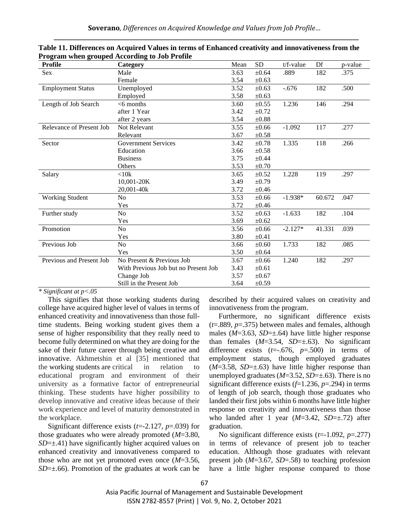| <b>Profile</b>           | Category                             | Mean | <b>SD</b>  | $t/f$ -value | Df     | p-value |
|--------------------------|--------------------------------------|------|------------|--------------|--------|---------|
| Sex                      | Male                                 | 3.63 | $\pm 0.64$ | .889         | 182    | .375    |
|                          | Female                               | 3.54 | $\pm 0.63$ |              |        |         |
| <b>Employment Status</b> | Unemployed                           | 3.52 | $\pm 0.63$ | $-.676$      | 182    | .500    |
|                          | Employed                             | 3.58 | $\pm 0.63$ |              |        |         |
| Length of Job Search     | $<$ 6 months                         | 3.60 | $\pm 0.55$ | 1.236        | 146    | .294    |
|                          | after 1 Year                         | 3.42 | $\pm 0.72$ |              |        |         |
|                          | after 2 years                        | 3.54 | $\pm 0.88$ |              |        |         |
| Relevance of Present Job | Not Relevant                         | 3.55 | $\pm 0.66$ | $-1.092$     | 117    | .277    |
|                          | Relevant                             | 3.67 | $\pm 0.58$ |              |        |         |
| Sector                   | <b>Government Services</b>           | 3.42 | $\pm 0.78$ | 1.335        | 118    | .266    |
|                          | Education                            | 3.66 | $\pm 0.58$ |              |        |         |
|                          | <b>Business</b>                      | 3.75 | $\pm 0.44$ |              |        |         |
|                          | Others                               | 3.53 | $\pm 0.70$ |              |        |         |
| Salary                   | < 10k                                | 3.65 | $\pm 0.52$ | 1.228        | 119    | .297    |
|                          | 10,001-20K                           | 3.49 | $\pm 0.79$ |              |        |         |
|                          | 20,001-40k                           | 3.72 | ±0.46      |              |        |         |
| <b>Working Student</b>   | No                                   | 3.53 | $\pm 0.66$ | $-1.938*$    | 60.672 | .047    |
|                          | Yes                                  | 3.72 | $\pm 0.46$ |              |        |         |
| Further study            | N <sub>0</sub>                       | 3.52 | $\pm 0.63$ | $-1.633$     | 182    | .104    |
|                          | Yes                                  | 3.69 | $\pm 0.62$ |              |        |         |
| Promotion                | No                                   | 3.56 | $\pm 0.66$ | $-2.127*$    | 41.331 | .039    |
|                          | Yes                                  | 3.80 | $\pm 0.41$ |              |        |         |
| Previous Job             | No                                   | 3.66 | $\pm 0.60$ | 1.733        | 182    | .085    |
|                          | Yes                                  | 3.50 | $\pm 0.64$ |              |        |         |
| Previous and Present Job | No Present & Previous Job            | 3.67 | $\pm 0.66$ | 1.240        | 182    | .297    |
|                          | With Previous Job but no Present Job | 3.43 | $\pm 0.61$ |              |        |         |
|                          | Change Job                           | 3.57 | $\pm 0.67$ |              |        |         |
|                          | Still in the Present Job             | 3.64 | $\pm 0.59$ |              |        |         |

| Table 11. Differences on Acquired Values in terms of Enhanced creativity and innovativeness from the |
|------------------------------------------------------------------------------------------------------|
| Program when grouped According to Job Profile                                                        |

This signifies that those working students during college have acquired higher level of values in terms of enhanced creativity and innovativeness than those fulltime students. Being working student gives them a sense of higher responsibility that they really need to become fully determined on what they are doing for the sake of their future career through being creative and innovative. Akhmetshin et al [35] mentioned that the working students are critical in relation to educational program and environment of their university as a formative factor of entrepreneurial thinking. These students have higher possibility to develop innovative and creative ideas because of their work experience and level of maturity demonstrated in the workplace.

Significant difference exists (*t*=-2.127, *p*=.039) for those graduates who were already promoted (*M*=3.80,  $SD=\pm$ .41) have significantly higher acquired values on enhanced creativity and innovativeness compared to those who are not yet promoted even once (*M*=3.56, *SD*=±.66). Promotion of the graduates at work can be

described by their acquired values on creativity and innovativeness from the program.

Furthermore, no significant difference exists (*t*=.889, *p*=.375) between males and females, although males  $(M=3.63, SD=\pm .64)$  have little higher response than females  $(M=3.54, SD=\pm .63)$ . No significant difference exists  $(t=.676, p=.500)$  in terms of employment status, though employed graduates  $(M=3.58, SD=\pm .63)$  have little higher response than unemployed graduates  $(M=3.52, SD=\pm .63)$ . There is no significant difference exists (*f*=1.236, *p*=.294) in terms of length of job search, though those graduates who landed their first jobs within 6 months have little higher response on creativity and innovativeness than those who landed after 1 year (*M*=3.42, *SD*=±.72) after graduation.

No significant difference exists (*t*=-1.092, *p*=.277) in terms of relevance of present job to teacher education. Although those graduates with relevant present job (*M*=3.67, *SD*=.58) to teaching profession have a little higher response compared to those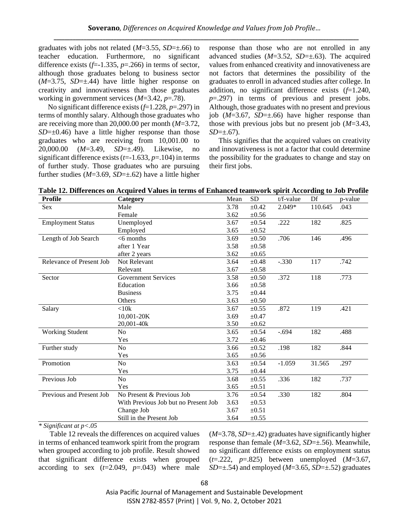graduates with jobs not related (*M*=3.55, *SD*=±.66) to teacher education. Furthermore, no significant difference exists  $(f=1.335, p=.266)$  in terms of sector, although those graduates belong to business sector (*M*=3.75, *SD*=±.44) have little higher response on creativity and innovativeness than those graduates working in government services (*M*=3.42, *p*=.78).

No significant difference exists (*f*=1.228, *p*=.297) in terms of monthly salary. Although those graduates who are receiving more than 20,000.00 per month (*M*=3.72,  $SD=\pm 0.46$ ) have a little higher response than those graduates who are receiving from 10,001.00 to 20,000.00 (*M*=3.49, *SD*=±.49). Likewise, no significant difference exists (*t*=-1.633, *p*=.104) in terms of further study. Those graduates who are pursuing further studies (*M*=3.69, *SD*=±.62) have a little higher

response than those who are not enrolled in any advanced studies (*M*=3.52, *SD*=±.63). The acquired values from enhanced creativity and innovativeness are not factors that determines the possibility of the graduates to enroll in advanced studies after college. In addition, no significant difference exists (*f*=1.240, *p*=.297) in terms of previous and present jobs. Although, those graduates with no present and previous job (*M*=3.67, *SD*=±.66) have higher response than those with previous jobs but no present job (*M*=3.43, *SD*=±.67).

This signifies that the acquired values on creativity and innovativeness is not a factor that could determine the possibility for the graduates to change and stay on their first jobs.

| Table 12. Differences on Acquired Values in terms of Enhanced teamwork spirit According to Job Profile |  |  |  |  |  |  |  |  |  |  |
|--------------------------------------------------------------------------------------------------------|--|--|--|--|--|--|--|--|--|--|
|--------------------------------------------------------------------------------------------------------|--|--|--|--|--|--|--|--|--|--|

| <b>Profile</b>           | Category                             | Mean | <b>SD</b>  | $t/f$ -value | Df      | p-value |
|--------------------------|--------------------------------------|------|------------|--------------|---------|---------|
| Sex                      | Male                                 | 3.78 | $\pm 0.42$ | 2.049*       | 110.645 | .043    |
|                          | Female                               | 3.62 | $\pm 0.56$ |              |         |         |
| <b>Employment Status</b> | Unemployed                           | 3.67 | $\pm 0.54$ | .222         | 182     | .825    |
|                          | Employed                             | 3.65 | $\pm 0.52$ |              |         |         |
| Length of Job Search     | $<$ 6 months                         | 3.69 | $\pm 0.50$ | .706         | 146     | .496    |
|                          | after 1 Year                         | 3.58 | $\pm 0.58$ |              |         |         |
|                          | after 2 years                        | 3.62 | $\pm 0.65$ |              |         |         |
| Relevance of Present Job | Not Relevant                         | 3.64 | $\pm 0.48$ | $-.330$      | 117     | .742    |
|                          | Relevant                             | 3.67 | $\pm 0.58$ |              |         |         |
| Sector                   | <b>Government Services</b>           | 3.58 | $\pm 0.50$ | .372         | 118     | .773    |
|                          | Education                            | 3.66 | $\pm 0.58$ |              |         |         |
|                          | <b>Business</b>                      | 3.75 | $\pm 0.44$ |              |         |         |
|                          | Others                               | 3.63 | $\pm 0.50$ |              |         |         |
| Salary                   | <10k                                 | 3.67 | $\pm 0.55$ | .872         | 119     | .421    |
|                          | 10,001-20K                           | 3.69 | $\pm 0.47$ |              |         |         |
|                          | 20,001-40k                           | 3.50 | $\pm 0.62$ |              |         |         |
| <b>Working Student</b>   | N <sub>o</sub>                       | 3.65 | $\pm 0.54$ | $-.694$      | 182     | .488    |
|                          | Yes                                  | 3.72 | $\pm 0.46$ |              |         |         |
| Further study            | N <sub>o</sub>                       | 3.66 | $\pm 0.52$ | .198         | 182     | .844    |
|                          | Yes                                  | 3.65 | $\pm 0.56$ |              |         |         |
| Promotion                | N <sub>0</sub>                       | 3.63 | $\pm 0.54$ | $-1.059$     | 31.565  | .297    |
|                          | Yes                                  | 3.75 | $\pm 0.44$ |              |         |         |
| Previous Job             | N <sub>0</sub>                       | 3.68 | $\pm 0.55$ | .336         | 182     | .737    |
|                          | Yes                                  | 3.65 | $\pm 0.51$ |              |         |         |
| Previous and Present Job | No Present & Previous Job            | 3.76 | $\pm 0.54$ | .330         | 182     | .804    |
|                          | With Previous Job but no Present Job | 3.63 | $\pm 0.53$ |              |         |         |
|                          | Change Job                           | 3.67 | $\pm 0.51$ |              |         |         |
|                          | Still in the Present Job             | 3.64 | $\pm 0.55$ |              |         |         |

*\* Significant at p<.05*

Table 12 reveals the differences on acquired values in terms of enhanced teamwork spirit from the program when grouped according to job profile. Result showed that significant difference exists when grouped according to sex  $(t=2.049, p=.043)$  where male  $(M=3.78, SD=\pm .42)$  graduates have significantly higher response than female (*M*=3.62, *SD*=±.56). Meanwhile, no significant difference exists on employment status (*t*=.222, *p*=.825) between unemployed (*M*=3.67, *SD*=±.54) and employed (*M*=3.65, *SD*=±.52) graduates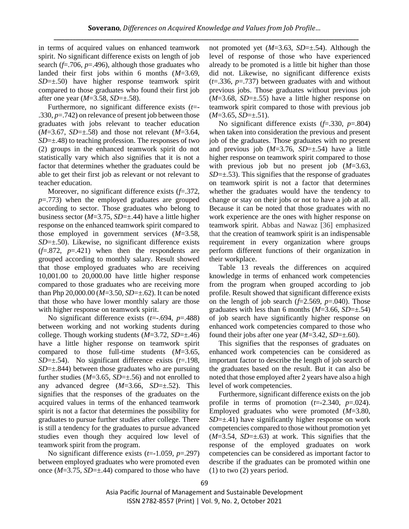in terms of acquired values on enhanced teamwork spirit. No significant difference exists on length of job search (*f*=.706, *p*=.496), although those graduates who landed their first jobs within 6 months (*M*=3.69, *SD*=±.50) have higher response teamwork spirit compared to those graduates who found their first job after one year (*M*=3.58, *SD*=±.58).

Furthermore, no significant difference exists (*t*=- .330, *p*=.742) on relevance of present job between those graduates with jobs relevant to teacher education (*M*=3.67, *SD*=±.58) and those not relevant (*M*=3.64, *SD*=±.48) to teaching profession. The responses of two (2) groups in the enhanced teamwork spirit do not statistically vary which also signifies that it is not a factor that determines whether the graduates could be able to get their first job as relevant or not relevant to teacher education.

Moreover, no significant difference exists (*f*=.372, *p*=.773) when the employed graduates are grouped according to sector. Those graduates who belong to business sector (*M*=3.75, *SD*=±.44) have a little higher response on the enhanced teamwork spirit compared to those employed in government services (*M*=3.58, *SD*=±.50). Likewise, no significant difference exists  $(f=.872, p=.421)$  when then the respondents are grouped according to monthly salary. Result showed that those employed graduates who are receiving 10,001.00 to 20,000.00 have little higher response compared to those graduates who are receiving more than Php 20,000.00 (*M*=3.50, *SD*=±.62). It can be noted that those who have lower monthly salary are those with higher response on teamwork spirit.

No significant difference exists (*t*=-.694, *p*=.488) between working and not working students during college. Though working students  $(M=3.72, SD=\pm.46)$ have a little higher response on teamwork spirit compared to those full-time students (*M*=3.65, *SD*=±.54). No significant difference exists (*t*=.198,  $SD=\pm$ .844) between those graduates who are pursuing further studies ( $M=3.65$ ,  $SD=\pm .56$ ) and not enrolled to any advanced degree (*M*=3.66, *SD*=±.52). This signifies that the responses of the graduates on the acquired values in terms of the enhanced teamwork spirit is not a factor that determines the possibility for graduates to pursue further studies after college. There is still a tendency for the graduates to pursue advanced studies even though they acquired low level of teamwork spirit from the program.

No significant difference exists (*t*=-1.059, *p*=.297) between employed graduates who were promoted even once (*M*=3.75, *SD*=±.44) compared to those who have not promoted yet (*M*=3.63, *SD*=±.54). Although the level of response of those who have experienced already to be promoted is a little bit higher than those did not. Likewise, no significant difference exists (*t*=.336, *p*=.737) between graduates with and without previous jobs. Those graduates without previous job  $(M=3.68, SD=\pm .55)$  have a little higher response on teamwork spirit compared to those with previous job (*M*=3.65, *SD*=±.51).

No significant difference exists (*f*=.330, *p*=.804) when taken into consideration the previous and present job of the graduates. Those graduates with no present and previous job (*M*=3.76, *SD*=±.54) have a little higher response on teamwork spirit compared to those with previous job but no present job (*M*=3.63, *SD*=±.53). This signifies that the response of graduates on teamwork spirit is not a factor that determines whether the graduates would have the tendency to change or stay on their jobs or not to have a job at all. Because it can be noted that those graduates with no work experience are the ones with higher response on teamwork spirit. Abbas and Nawaz [36] emphasized that the creation of teamwork spirit is an indispensable requirement in every organization where groups perform different functions of their organization in their workplace.

Table 13 reveals the differences on acquired knowledge in terms of enhanced work competencies from the program when grouped according to job profile. Result showed that significant difference exists on the length of job search  $(f=2.569, p=.040)$ . Those graduates with less than 6 months  $(M=3.66, SD=\pm .54)$ of job search have significantly higher response on enhanced work competencies compared to those who found their jobs after one year  $(M=3.42, SD=\pm.60)$ .

This signifies that the responses of graduates on enhanced work competencies can be considered as important factor to describe the length of job search of the graduates based on the result. But it can also be noted that those employed after 2 years have also a high level of work competencies.

Furthermore, significant difference exists on the job profile in terms of promotion  $(t=2.340, p=.024)$ . Employed graduates who were promoted (*M*=3.80,  $SD=\pm$ .41) have significantly higher response on work competencies compared to those without promotion yet  $(M=3.54, SD=\pm .63)$  at work. This signifies that the response of the employed graduates on work competencies can be considered as important factor to describe if the graduates can be promoted within one (1) to two (2) years period.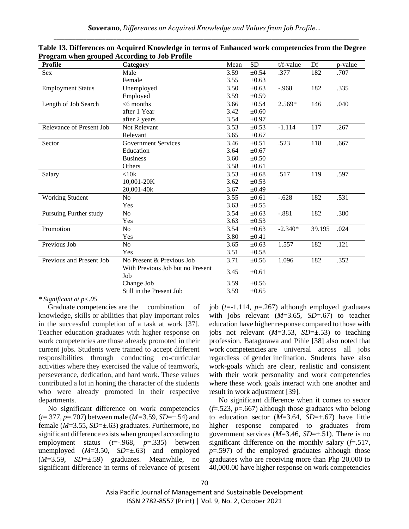| <b>Profile</b>           | Category                                | Mean | <b>SD</b>  | $t/f$ -value | Df     | p-value |
|--------------------------|-----------------------------------------|------|------------|--------------|--------|---------|
| Sex                      | Male                                    | 3.59 | $\pm 0.54$ | .377         | 182    | .707    |
|                          | Female                                  | 3.55 | $\pm 0.63$ |              |        |         |
| <b>Employment Status</b> | Unemployed                              | 3.50 | $\pm 0.63$ | $-.968$      | 182    | .335    |
|                          | Employed                                | 3.59 | $\pm 0.59$ |              |        |         |
| Length of Job Search     | $<$ 6 months                            | 3.66 | $\pm 0.54$ | 2.569*       | 146    | .040    |
|                          | after 1 Year                            | 3.42 | $\pm 0.60$ |              |        |         |
|                          | after 2 years                           | 3.54 | $\pm 0.97$ |              |        |         |
| Relevance of Present Job | Not Relevant                            | 3.53 | $\pm 0.53$ | $-1.114$     | 117    | .267    |
|                          | Relevant                                | 3.65 | $\pm 0.67$ |              |        |         |
| Sector                   | <b>Government Services</b>              | 3.46 | $\pm 0.51$ | .523         | 118    | .667    |
|                          | Education                               | 3.64 | $\pm 0.67$ |              |        |         |
|                          | <b>Business</b>                         | 3.60 | $\pm 0.50$ |              |        |         |
|                          | Others                                  | 3.58 | $\pm 0.61$ |              |        |         |
| Salary                   | $<$ 10 $k$                              | 3.53 | $\pm 0.68$ | .517         | 119    | .597    |
|                          | 10,001-20K                              | 3.62 | $\pm 0.53$ |              |        |         |
|                          | 20,001-40k                              | 3.67 | $\pm 0.49$ |              |        |         |
| <b>Working Student</b>   | No                                      | 3.55 | $\pm 0.61$ | $-.628$      | 182    | .531    |
|                          | Yes                                     | 3.63 | $\pm 0.55$ |              |        |         |
| Pursuing Further study   | N <sub>o</sub>                          | 3.54 | $\pm 0.63$ | $-.881$      | 182    | .380    |
|                          | Yes                                     | 3.63 | $\pm 0.53$ |              |        |         |
| Promotion                | N <sub>o</sub>                          | 3.54 | $\pm 0.63$ | $-2.340*$    | 39.195 | .024    |
|                          | Yes                                     | 3.80 | $\pm 0.41$ |              |        |         |
| Previous Job             | N <sub>0</sub>                          | 3.65 | $\pm 0.63$ | 1.557        | 182    | .121    |
|                          | Yes                                     | 3.51 | $\pm 0.58$ |              |        |         |
| Previous and Present Job | No Present & Previous Job               | 3.71 | $\pm 0.56$ | 1.096        | 182    | .352    |
|                          | With Previous Job but no Present<br>Job | 3.45 | $\pm 0.61$ |              |        |         |
|                          | Change Job                              | 3.59 | $\pm 0.56$ |              |        |         |
|                          | Still in the Present Job                | 3.59 | $\pm 0.65$ |              |        |         |

**Table 13. Differences on Acquired Knowledge in terms of Enhanced work competencies from the Degree Program when grouped According to Job Profile**

Graduate competencies are the combination of knowledge, skills or abilities that play important roles in the successful completion of a task at work [37]. Teacher education graduates with higher response on work competencies are those already promoted in their current jobs. Students were trained to accept different responsibilities through conducting co-curricular activities where they exercised the value of teamwork, perseverance, dedication, and hard work. These values contributed a lot in honing the character of the students who were already promoted in their respective departments.

No significant difference on work competencies (*t*=.377, *p*=.707) between male (*M=*3.59, *SD*=±.54) and female (*M*=3.55, *SD*=±.63) graduates. Furthermore, no significant difference exists when grouped according to employment status (*t*=-.968, *p*=.335) between unemployed  $(M=3.50, SD=\pm .63)$  and employed (*M*=3.59, *SD*=±.59) graduates. Meanwhile, no significant difference in terms of relevance of present job (*t*=-1.114, *p*=.267) although employed graduates with jobs relevant (*M*=3.65, *SD*=.67) to teacher education have higher response compared to those with jobs not relevant (*M*=3.53, *SD*=±.53) to teaching profession. Batagarawa and Pihie [38] also noted that work competencies are universal across all jobs regardless of gender inclination. Students have also work-goals which are clear, realistic and consistent with their work personality and work competencies where these work goals interact with one another and result in work adjustment [39].

No significant difference when it comes to sector (*f*=.523, *p*=.667) although those graduates who belong to education sector  $(M=3.64, SD=\pm .67)$  have little higher response compared to graduates from government services  $(M=3.46, SD=\pm .51)$ . There is no significant difference on the monthly salary (*f*=.517, *p*=.597) of the employed graduates although those graduates who are receiving more than Php 20,000 to 40,000.00 have higher response on work competencies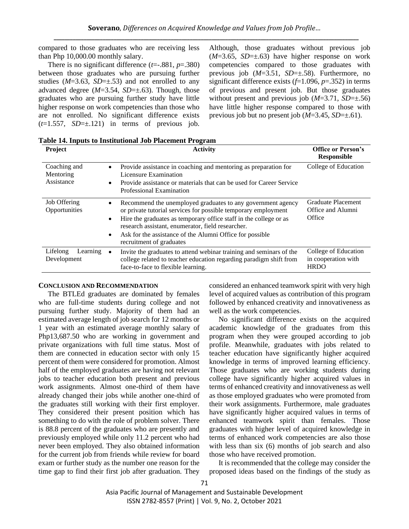compared to those graduates who are receiving less than Php 10,000.00 monthly salary.

There is no significant difference  $(t=.881, p=.380)$ between those graduates who are pursuing further studies  $(M=3.63, SD=\pm .53)$  and not enrolled to any advanced degree (*M*=3.54, *SD*=±.63). Though, those graduates who are pursuing further study have little higher response on work competencies than those who are not enrolled. No significant difference exists  $(t=1.557, SD=\pm 121)$  in terms of previous job. Although, those graduates without previous job  $(M=3.65, SD=\pm .63)$  have higher response on work competencies compared to those graduates with previous job (*M*=3.51, *SD*=±.58). Furthermore, no significant difference exists (*f*=1.096, *p*=.352) in terms of previous and present job. But those graduates without present and previous job  $(M=3.71, SD=\pm .56)$ have little higher response compared to those with previous job but no present job  $(M=3.45, SD=\pm.61)$ .

**Table 14. Inputs to Institutional Job Placement Program** 

| Project                                 | <b>Activity</b>                                                                                                                                                                                                                                                                                                                                                                        | <b>Office or Person's</b><br><b>Responsible</b>            |
|-----------------------------------------|----------------------------------------------------------------------------------------------------------------------------------------------------------------------------------------------------------------------------------------------------------------------------------------------------------------------------------------------------------------------------------------|------------------------------------------------------------|
| Coaching and<br>Mentoring<br>Assistance | Provide assistance in coaching and mentoring as preparation for<br>$\bullet$<br>Licensure Examination<br>Provide assistance or materials that can be used for Career Service<br>$\bullet$<br>Professional Examination                                                                                                                                                                  | College of Education                                       |
| Job Offering<br>Opportunities           | Recommend the unemployed graduates to any government agency<br>$\bullet$<br>or private tutorial services for possible temporary employment<br>Hire the graduates as temporary office staff in the college or as<br>$\bullet$<br>research assistant, enumerator, field researcher.<br>Ask for the assistance of the Alumni Office for possible<br>$\bullet$<br>recruitment of graduates | Graduate Placement<br>Office and Alumni<br>Office          |
| Lifelong<br>Learning<br>Development     | Invite the graduates to attend webinar training and seminars of the<br>college related to teacher education regarding paradigm shift from<br>face-to-face to flexible learning.                                                                                                                                                                                                        | College of Education<br>in cooperation with<br><b>HRDO</b> |

#### **CONCLUSION AND RECOMMENDATION**

The BTLEd graduates are dominated by females who are full-time students during college and not pursuing further study. Majority of them had an estimated average length of job search for 12 months or 1 year with an estimated average monthly salary of Php13,687.50 who are working in government and private organizations with full time status. Most of them are connected in education sector with only 15 percent of them were considered for promotion. Almost half of the employed graduates are having not relevant jobs to teacher education both present and previous work assignments. Almost one-third of them have already changed their jobs while another one-third of the graduates still working with their first employer. They considered their present position which has something to do with the role of problem solver. There is 88.8 percent of the graduates who are presently and previously employed while only 11.2 percent who had never been employed. They also obtained information for the current job from friends while review for board exam or further study as the number one reason for the time gap to find their first job after graduation. They considered an enhanced teamwork spirit with very high level of acquired values as contribution of this program followed by enhanced creativity and innovativeness as well as the work competencies.

No significant difference exists on the acquired academic knowledge of the graduates from this program when they were grouped according to job profile. Meanwhile, graduates with jobs related to teacher education have significantly higher acquired knowledge in terms of improved learning efficiency. Those graduates who are working students during college have significantly higher acquired values in terms of enhanced creativity and innovativeness as well as those employed graduates who were promoted from their work assignments. Furthermore, male graduates have significantly higher acquired values in terms of enhanced teamwork spirit than females. Those graduates with higher level of acquired knowledge in terms of enhanced work competencies are also those with less than six (6) months of job search and also those who have received promotion.

It is recommended that the college may consider the proposed ideas based on the findings of the study as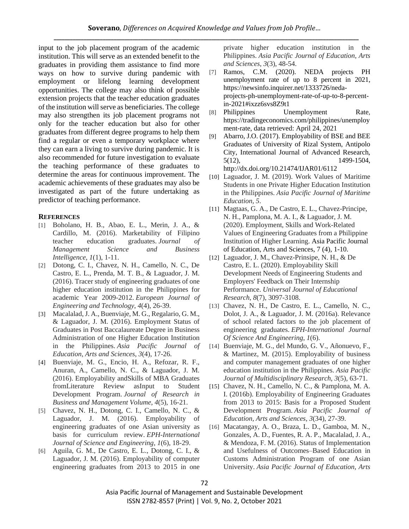input to the job placement program of the academic institution. This will serve as an extended benefit to the graduates in providing them assistance to find more ways on how to survive during pandemic with employment or lifelong learning development opportunities. The college may also think of possible extension projects that the teacher education graduates of the institution will serve as beneficiaries. The college may also strengthen its job placement programs not only for the teacher education but also for other graduates from different degree programs to help them find a regular or even a temporary workplace where they can earn a living to survive during pandemic. It is also recommended for future investigation to evaluate the teaching performance of these graduates to determine the areas for continuous improvement. The academic achievements of these graduates may also be investigated as part of the future undertaking as predictor of teaching performance.

# **REFERENCES**

- [1] Boholano, H. B., Abao, E. L., Merin, J. A., & Cardillo, M. (2016). Marketability of Filipino teacher education graduates. *Journal of Management Science and Business Intelligence*, *1*(1), 1-11.
- [2] Dotong, C. I., Chavez, N. H., Camello, N. C., De Castro, E. L., Prenda, M. T. B., & Laguador, J. M. (2016). Tracer study of engineering graduates of one higher education institution in the Philippines for academic Year 2009-2012. *European Journal of Engineering and Technology*, *4*(4), 26-39.
- [3] Macalalad, J. A., Buenviaje, M. G., Regalario, G. M., & Laguador, J. M. (2016). Employment Status of Graduates in Post Baccalaureate Degree in Business Administration of one Higher Education Institution in the Philippines. *Asia Pacific Journal of Education, Arts and Sciences*, *3*(4), 17-26.
- [4] Buenviaje, M. G., Encio, H. A., Refozar, R. F., Anuran, A., Camello, N. C., & Laguador, J. M. (2016). Employability andSkills of MBA Graduates fromLiterature Review asInput to Student Development Program. *Journal of Research in Business and Management Volume*, *4*(5), 16-21.
- [5] Chavez, N. H., Dotong, C. I., Camello, N. C., & Laguador, J. M. (2016). Employability of engineering graduates of one Asian university as basis for curriculum review. *EPH-International Journal of Science and Engineering*, *1*(6), 18-29.
- [6] Aguila, G. M., De Castro, E. L., Dotong, C. I., & Laguador, J. M. (2016). Employability of computer engineering graduates from 2013 to 2015 in one

private higher education institution in the Philippines. *Asia Pacific Journal of Education, Arts and Sciences*, *3*(3), 48-54.

- [7] Ramos, C.M. (2020). NEDA projects PH unemployment rate of up to 8 percent in 2021, [https://newsinfo.inquirer.net/1333726/neda](https://newsinfo.inquirer.net/1333726/neda-projects-ph-unemployment-rate-of-up-to-8-percent-in-2021#ixzz6svs8Z9t1)[projects-ph-unemployment-rate-of-up-to-8-percent](https://newsinfo.inquirer.net/1333726/neda-projects-ph-unemployment-rate-of-up-to-8-percent-in-2021#ixzz6svs8Z9t1)[in-2021#ixzz6svs8Z9t1](https://newsinfo.inquirer.net/1333726/neda-projects-ph-unemployment-rate-of-up-to-8-percent-in-2021#ixzz6svs8Z9t1)
- [8] Philippines Unemployment Rate, https://tradingeconomics.com/philippines/unemploy ment-rate, data retrieved: April 24, 2021
- [9] Abarro, J.O. (2017). Employability of BSE and BEE Graduates of University of Rizal System, Antipolo City, International Journal of Advanced Research, 5(12), 1499-1504, http://dx.doi.org/10.21474/IJAR01/6112
- [10] Laguador, J. M. (2019). Work Values of Maritime Students in one Private Higher Education Institution in the Philippines. *Asia Pacific Journal of Maritime Education*, *5*.
- [11] Magtaas, G. A., De Castro, E. L., Chavez-Principe, N. H., Pamplona, M. A. I., & Laguador, J. M. (2020). Employment, Skills and Work-Related Values of Engineering Graduates from a Philippine Institution of Higher Learning. Asia Pacific Journal of Education, Arts and Sciences, 7 (4), 1-10.
- [12] Laguador, J. M., Chavez-Prinsipe, N. H., & De Castro, E. L. (2020). Employability Skill Development Needs of Engineering Students and Employers' Feedback on Their Internship Performance. *Universal Journal of Educational Research*, *8*(7), 3097-3108.
- [13] Chavez, N. H., De Castro, E. L., Camello, N. C., Dolot, J. A., & Laguador, J. M. (2016a). Relevance of school related factors to the job placement of engineering graduates. *EPH-International Journal Of Science And Engineering*, *1*(6).
- [14] Buenviaje, M. G., del Mundo, G. V., Añonuevo, F., & Martinez, M. (2015). Employability of business and computer management graduates of one higher education institution in the Philippines. *Asia Pacific Journal of Multidisciplinary Research*, *3*(5), 63-71.
- [15] Chavez, N. H., Camello, N. C., & Pamplona, M. A. I. (2016b). Employability of Engineering Graduates from 2013 to 2015: Basis for a Proposed Student Development Program. *Asia Pacific Journal of Education, Arts and Sciences*, *3*(34), 27-39.
- [16] Macatangay, A. O., Braza, L. D., Gamboa, M. N., Gonzales, A. D., Fuentes, R. A. P., Macalalad, J. A., & Mendoza, F. M. (2016). Status of Implementation and Usefulness of Outcomes–Based Education in Customs Administration Program of one Asian University. *Asia Pacific Journal of Education, Arts*